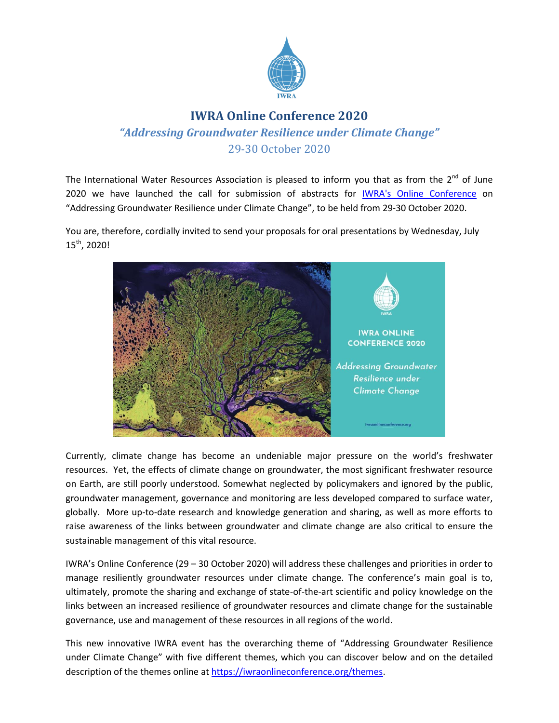

## **IWRA Online Conference 2020**

*"Addressing Groundwater Resilience under Climate Change"* 29-30 October 2020

The International Water Resources Association is pleased to inform you that as from the  $2^{nd}$  of June 2020 we have launched the call for submission of abstracts for [IWRA's Online Conference](http://www.iwraonlineconference.org/) on "Addressing Groundwater Resilience under Climate Change", to be held from 29-30 October 2020.

You are, therefore, cordially invited to send your proposals for oral presentations by Wednesday, July 15th , 2020!



Currently, climate change has become an undeniable major pressure on the world's freshwater resources. Yet, the effects of climate change on groundwater, the most significant freshwater resource on Earth, are still poorly understood. Somewhat neglected by policymakers and ignored by the public, groundwater management, governance and monitoring are less developed compared to surface water, globally. More up-to-date research and knowledge generation and sharing, as well as more efforts to raise awareness of the links between groundwater and climate change are also critical to ensure the sustainable management of this vital resource.

IWRA's Online Conference (29 – 30 October 2020) will address these challenges and priorities in order to manage resiliently groundwater resources under climate change. The conference's main goal is to, ultimately, promote the sharing and exchange of state-of-the-art scientific and policy knowledge on the links between an increased resilience of groundwater resources and climate change for the sustainable governance, use and management of these resources in all regions of the world.

This new innovative IWRA event has the overarching theme of "Addressing Groundwater Resilience under Climate Change" with five different themes, which you can discover below and on the detailed description of the themes online a[t https://iwraonlineconference.org/themes.](https://iwraonlineconference.org/themes)